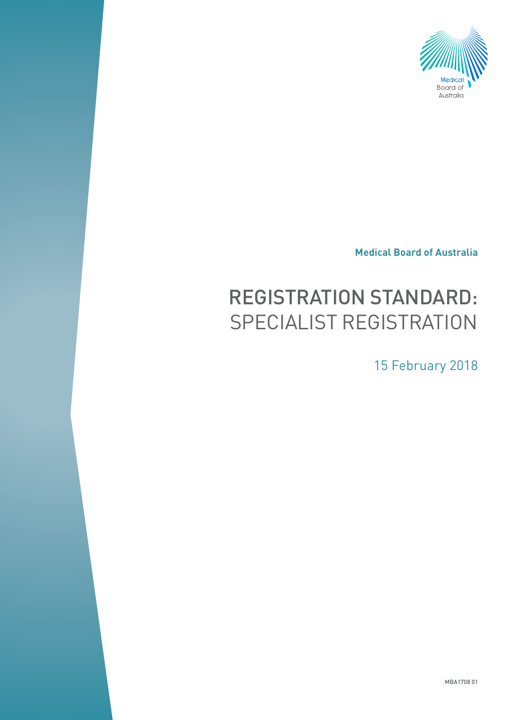

**Medical Board of Australia**

# REGISTRATION STANDARD: SPECIALIST REGISTRATION

15 February 2018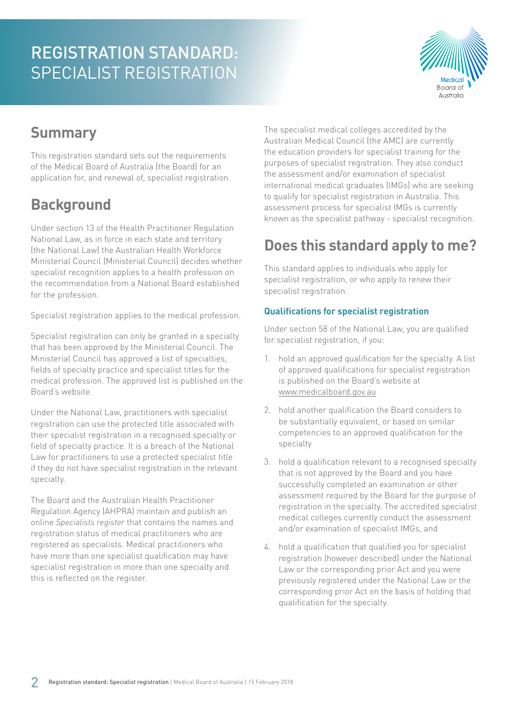

### **Summary**

This registration standard sets out the requirements of the Medical Board of Australia (the Board) for an application for, and renewal of, specialist registration.

### **Background**

Under section 13 of the Health Practitioner Regulation National Law, as in force in each state and territory (the National Law) the Australian Health Workforce Ministerial Council (Ministerial Council) decides whether specialist recognition applies to a health profession on the recommendation from a National Board established for the profession.

Specialist registration applies to the medical profession.

Specialist registration can only be granted in a specialty that has been approved by the Ministerial Council. The Ministerial Council has approved a list of specialties, fields of specialty practice and specialist titles for the medical profession. The approved list is published on the Board's website.

Under the National Law, practitioners with specialist registration can use the protected title associated with their specialist registration in a recognised specialty or field of specialty practice. It is a breach of the National Law for practitioners to use a protected specialist title if they do not have specialist registration in the relevant specialty.

The Board and the Australian Health Practitioner Regulation Agency (AHPRA) maintain and publish an online *Specialists register* that contains the names and registration status of medical practitioners who are registered as specialists. Medical practitioners who have more than one specialist qualification may have specialist registration in more than one specialty and this is reflected on the register.

The specialist medical colleges accredited by the Australian Medical Council (the AMC) are currently the education providers for specialist training for the purposes of specialist registration. They also conduct the assessment and/or examination of specialist international medical graduates (IMGs) who are seeking to qualify for specialist registration in Australia. This assessment process for specialist IMGs is currently known as the specialist pathway - specialist recognition.

### **Does this standard apply to me?**

This standard applies to individuals who apply for specialist registration, or who apply to renew their specialist registration.

### **Qualifications for specialist registration**

Under section 58 of the National Law, you are qualified for specialist registration, if you:

- 1. hold an approved qualification for the specialty. A list of approved qualifications for specialist registration is published on the Board's website at [www.medicalboard.gov.au](http://www.medicalboard.gov.au)
- 2. hold another qualification the Board considers to be substantially equivalent, or based on similar competencies to an approved qualification for the specialty
- 3. hold a qualification relevant to a recognised specialty that is not approved by the Board and you have successfully completed an examination or other assessment required by the Board for the purpose of registration in the specialty. The accredited specialist medical colleges currently conduct the assessment and/or examination of specialist IMGs, and
- 4. hold a qualification that qualified you for specialist registration (however described) under the National Law or the corresponding prior Act and you were previously registered under the National Law or the corresponding prior Act on the basis of holding that qualification for the specialty.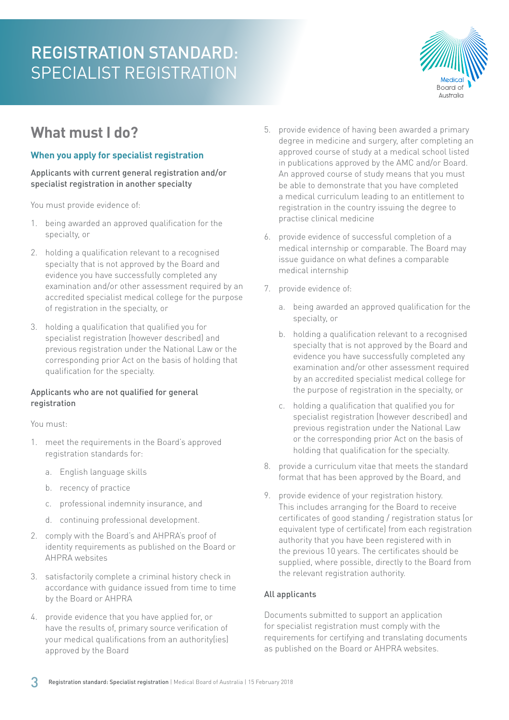

### **What must I do?**

#### **When you apply for specialist registration**

Applicants with current general registration and/or specialist registration in another specialty

You must provide evidence of:

- 1. being awarded an approved qualification for the specialty, or
- 2. holding a qualification relevant to a recognised specialty that is not approved by the Board and evidence you have successfully completed any examination and/or other assessment required by an accredited specialist medical college for the purpose of registration in the specialty, or
- 3. holding a qualification that qualified you for specialist registration (however described) and previous registration under the National Law or the corresponding prior Act on the basis of holding that qualification for the specialty.

#### Applicants who are not qualified for general registration

You must:

- 1. meet the requirements in the Board's approved registration standards for:
	- a. English language skills
	- b. recency of practice
	- c. professional indemnity insurance, and
	- d. continuing professional development.
- 2. comply with the Board's and AHPRA's proof of identity requirements as published on the Board or AHPRA websites
- 3. satisfactorily complete a criminal history check in accordance with guidance issued from time to time by the Board or AHPRA
- 4. provide evidence that you have applied for, or have the results of, primary source verification of your medical qualifications from an authority(ies) approved by the Board
- 5. provide evidence of having been awarded a primary degree in medicine and surgery, after completing an approved course of study at a medical school listed in publications approved by the AMC and/or Board. An approved course of study means that you must be able to demonstrate that you have completed a medical curriculum leading to an entitlement to registration in the country issuing the degree to practise clinical medicine
- 6. provide evidence of successful completion of a medical internship or comparable. The Board may issue guidance on what defines a comparable medical internship
- 7. provide evidence of:
	- a. being awarded an approved qualification for the specialty, or
	- b. holding a qualification relevant to a recognised specialty that is not approved by the Board and evidence you have successfully completed any examination and/or other assessment required by an accredited specialist medical college for the purpose of registration in the specialty, or
	- c. holding a qualification that qualified you for specialist registration (however described) and previous registration under the National Law or the corresponding prior Act on the basis of holding that qualification for the specialty.
- 8. provide a curriculum vitae that meets the standard format that has been approved by the Board, and
- 9. provide evidence of your registration history. This includes arranging for the Board to receive certificates of good standing / registration status (or equivalent type of certificate) from each registration authority that you have been registered with in the previous 10 years. The certificates should be supplied, where possible, directly to the Board from the relevant registration authority.

#### All applicants

Documents submitted to support an application for specialist registration must comply with the requirements for certifying and translating documents as published on the Board or AHPRA websites.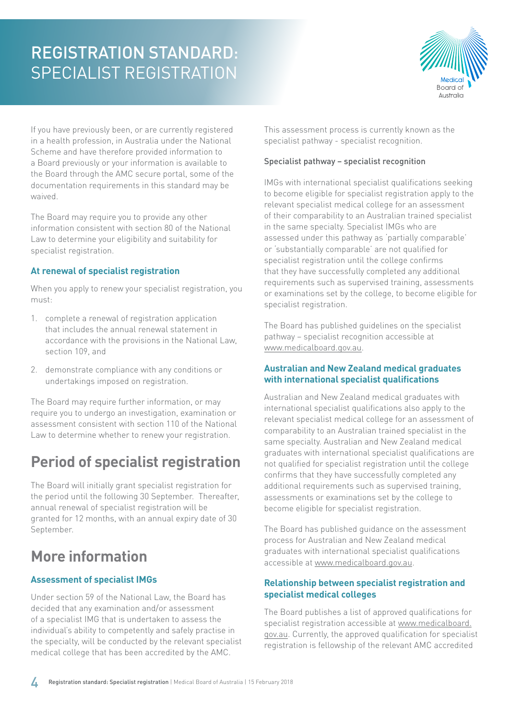

If you have previously been, or are currently registered in a health profession, in Australia under the National Scheme and have therefore provided information to a Board previously or your information is available to the Board through the AMC secure portal, some of the documentation requirements in this standard may be waived.

The Board may require you to provide any other information consistent with section 80 of the National Law to determine your eligibility and suitability for specialist registration.

#### **At renewal of specialist registration**

When you apply to renew your specialist registration, you must:

- 1. complete a renewal of registration application that includes the annual renewal statement in accordance with the provisions in the National Law, section 109, and
- 2. demonstrate compliance with any conditions or undertakings imposed on registration.

The Board may require further information, or may require you to undergo an investigation, examination or assessment consistent with section 110 of the National Law to determine whether to renew your registration.

### **Period of specialist registration**

The Board will initially grant specialist registration for the period until the following 30 September. Thereafter, annual renewal of specialist registration will be granted for 12 months, with an annual expiry date of 30 September.

### **More information**

#### **Assessment of specialist IMGs**

Under section 59 of the National Law, the Board has decided that any examination and/or assessment of a specialist IMG that is undertaken to assess the individual's ability to competently and safely practise in the specialty, will be conducted by the relevant specialist medical college that has been accredited by the AMC.

This assessment process is currently known as the specialist pathway - specialist recognition.

#### Specialist pathway – specialist recognition

IMGs with international specialist qualifications seeking to become eligible for specialist registration apply to the relevant specialist medical college for an assessment of their comparability to an Australian trained specialist in the same specialty. Specialist IMGs who are assessed under this pathway as 'partially comparable' or 'substantially comparable' are not qualified for specialist registration until the college confirms that they have successfully completed any additional requirements such as supervised training, assessments or examinations set by the college, to become eligible for specialist registration.

The Board has published guidelines on the specialist pathway – specialist recognition accessible at [www.medicalboard.gov.au.](http://www.medicalboard.gov.au)

#### **Australian and New Zealand medical graduates with international specialist qualifications**

Australian and New Zealand medical graduates with international specialist qualifications also apply to the relevant specialist medical college for an assessment of comparability to an Australian trained specialist in the same specialty. Australian and New Zealand medical graduates with international specialist qualifications are not qualified for specialist registration until the college confirms that they have successfully completed any additional requirements such as supervised training, assessments or examinations set by the college to become eligible for specialist registration.

The Board has published guidance on the assessment process for Australian and New Zealand medical graduates with international specialist qualifications accessible at [www.medicalboard.gov.au](http://www.medicalboard.gov.au).

#### **Relationship between specialist registration and specialist medical colleges**

The Board publishes a list of approved qualifications for specialist registration accessible at [www.medicalboard.](http://www.medicalboard.gov.au) [gov.au.](http://www.medicalboard.gov.au) Currently, the approved qualification for specialist registration is fellowship of the relevant AMC accredited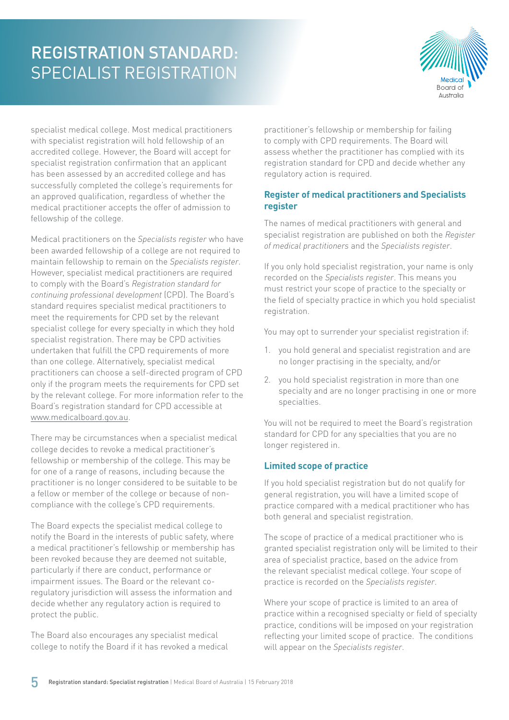

specialist medical college. Most medical practitioners with specialist registration will hold fellowship of an accredited college. However, the Board will accept for specialist registration confirmation that an applicant has been assessed by an accredited college and has successfully completed the college's requirements for an approved qualification, regardless of whether the medical practitioner accepts the offer of admission to fellowship of the college.

Medical practitioners on the *Specialists register* who have been awarded fellowship of a college are not required to maintain fellowship to remain on the *Specialists register*. However, specialist medical practitioners are required to comply with the Board's *Registration standard for continuing professional development* (CPD). The Board's standard requires specialist medical practitioners to meet the requirements for CPD set by the relevant specialist college for every specialty in which they hold specialist registration. There may be CPD activities undertaken that fulfill the CPD requirements of more than one college. Alternatively, specialist medical practitioners can choose a self-directed program of CPD only if the program meets the requirements for CPD set by the relevant college. For more information refer to the Board's registration standard for CPD accessible at [www.medicalboard.gov.au](http://www.medicalboard.gov.au).

There may be circumstances when a specialist medical college decides to revoke a medical practitioner's fellowship or membership of the college. This may be for one of a range of reasons, including because the practitioner is no longer considered to be suitable to be a fellow or member of the college or because of noncompliance with the college's CPD requirements.

The Board expects the specialist medical college to notify the Board in the interests of public safety, where a medical practitioner's fellowship or membership has been revoked because they are deemed not suitable, particularly if there are conduct, performance or impairment issues. The Board or the relevant coregulatory jurisdiction will assess the information and decide whether any regulatory action is required to protect the public.

The Board also encourages any specialist medical college to notify the Board if it has revoked a medical

practitioner's fellowship or membership for failing to comply with CPD requirements. The Board will assess whether the practitioner has complied with its registration standard for CPD and decide whether any regulatory action is required.

#### **Register of medical practitioners and Specialists register**

The names of medical practitioners with general and specialist registration are published on both the *Register of medical practitioners* and the *Specialists register*.

If you only hold specialist registration, your name is only recorded on the *Specialists register*. This means you must restrict your scope of practice to the specialty or the field of specialty practice in which you hold specialist registration.

You may opt to surrender your specialist registration if:

- 1. you hold general and specialist registration and are no longer practising in the specialty, and/or
- 2. you hold specialist registration in more than one specialty and are no longer practising in one or more specialties.

You will not be required to meet the Board's registration standard for CPD for any specialties that you are no longer registered in.

#### **Limited scope of practice**

If you hold specialist registration but do not qualify for general registration, you will have a limited scope of practice compared with a medical practitioner who has both general and specialist registration.

The scope of practice of a medical practitioner who is granted specialist registration only will be limited to their area of specialist practice, based on the advice from the relevant specialist medical college. Your scope of practice is recorded on the *Specialists register*.

Where your scope of practice is limited to an area of practice within a recognised specialty or field of specialty practice, conditions will be imposed on your registration reflecting your limited scope of practice. The conditions will appear on the *Specialists register*.